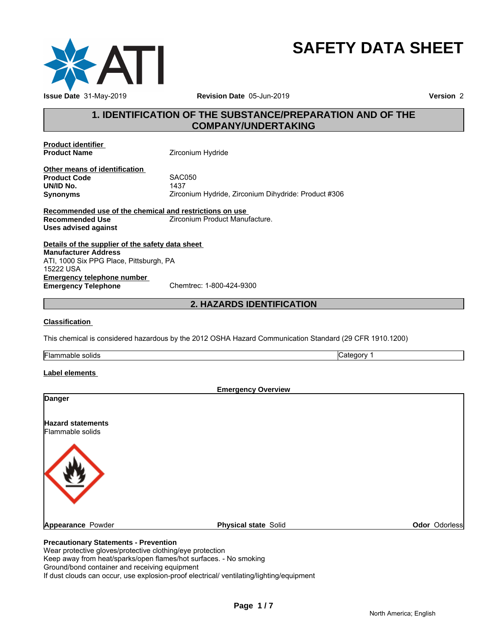

# **SAFETY DATA SHEET**

# **1. IDENTIFICATION OF THE SUBSTANCE/PREPARATION AND OF THE COMPANY/UNDERTAKING**

**Product identifier** 

**Zirconium Hydride** 

**Other means of identification**<br>**Product Code** SAC050 **Product Code** SACO<br> **UN/ID No.** 1437 **UN/ID No.**<br>Synonyms **Synonyms** Zirconium Hydride, Zirconium Dihydride: Product #306

**Recommended use of the chemical and restrictions on use Recommended Use The Contract Ave** Zirconium Product Manufacture. **Uses advised against**

**Details of the supplier of the safety data sheet Emergency telephone number**<br> **Emergency Telephone**<br>
Chemtrec: 1-800-424-9300 **Emergency Telephone Manufacturer Address** ATI, 1000 Six PPG Place, Pittsburgh, PA 15222 USA

# **2. HAZARDS IDENTIFICATION**

#### **Classification**

This chemical is considered hazardous by the 2012 OSHA Hazard Communication Standard (29 CFR 1910.1200)

Flammable solids **Category 1 Category 1** 

#### **Label elements**

|                                              | <b>Emergency Overview</b> |               |
|----------------------------------------------|---------------------------|---------------|
| <b>Danger</b>                                |                           |               |
| <b>Hazard statements</b><br>Flammable solids |                           |               |
|                                              |                           |               |
| <b>Appearance Powder</b>                     | Physical state Solid      | Odor Odorless |

#### **Precautionary Statements - Prevention**

Wear protective gloves/protective clothing/eye protection

Keep away from heat/sparks/open flames/hot surfaces. - No smoking

Ground/bond container and receiving equipment

If dust clouds can occur, use explosion-proof electrical/ ventilating/lighting/equipment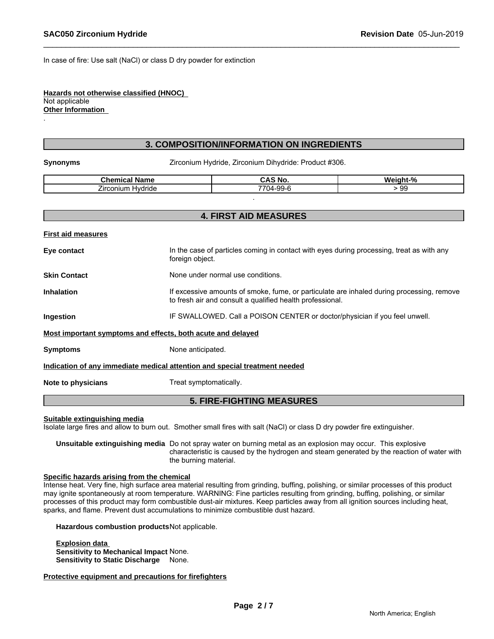In case of fire: Use salt (NaCl) or class D dry powder for extinction

#### **Hazards not otherwise classified (HNOC)**  Not applicable **Other Information**

#### **3. COMPOSITION/INFORMATION ON INGREDIENTS**

.

**Synonyms Example 2** Zirconium Hydride, Zirconium Dihydride: Product #306.

| . .<br><b>Cham</b> u<br>Name<br>mıcal<br>.<br>. | <b>CAS No.</b>                         | $\mathbf{a}$<br>.<br>70 |
|-------------------------------------------------|----------------------------------------|-------------------------|
| -<br>∠ırconıum<br>Hvdride                       | $\sim$ $\sim$<br><b>7704-</b><br>-99-0 | $\sim$<br>୬୪            |
|                                                 |                                        |                         |

|                           | <b>4. FIRST AID MEASURES</b>                                                                                                                           |
|---------------------------|--------------------------------------------------------------------------------------------------------------------------------------------------------|
| <b>First aid measures</b> |                                                                                                                                                        |
| Eye contact               | In the case of particles coming in contact with eyes during processing, treat as with any<br>foreign object.                                           |
| <b>Skin Contact</b>       | None under normal use conditions.                                                                                                                      |
| <b>Inhalation</b>         | If excessive amounts of smoke, fume, or particulate are inhaled during processing, remove<br>to fresh air and consult a qualified health professional. |
| Ingestion                 | IF SWALLOWED. Call a POISON CENTER or doctor/physician if you feel unwell.                                                                             |
|                           | Most important symptoms and effects, both acute and delayed                                                                                            |
| <b>Symptoms</b>           | None anticipated.                                                                                                                                      |
|                           | Indication of any immediate medical attention and special treatment needed                                                                             |
| Note to physicians        | Treat symptomatically.                                                                                                                                 |
|                           | <b>5. FIRE-FIGHTING MEASURES</b>                                                                                                                       |

#### **Suitable extinguishing media**

Isolate large fires and allow to burn out. Smother small fires with salt (NaCl) or class D dry powder fire extinguisher.

**Unsuitable extinguishing media** Do not spray water on burning metal as an explosion may occur. This explosive characteristic is caused by the hydrogen and steam generated by the reaction of water with the burning material.

#### **Specific hazards arising from the chemical**

Intense heat. Very fine, high surface area material resulting from grinding, buffing, polishing, or similar processes of this product may ignite spontaneously at room temperature. WARNING: Fine particles resulting from grinding, buffing, polishing, or similar processes of this product may form combustible dust-air mixtures. Keep particles away from all ignition sources including heat, sparks, and flame. Prevent dust accumulations to minimize combustible dust hazard.

**Hazardous combustion products**Not applicable.

**Explosion data Sensitivity to Mechanical Impact** None. **Sensitivity to Static Discharge** None.

**Protective equipment and precautions for firefighters**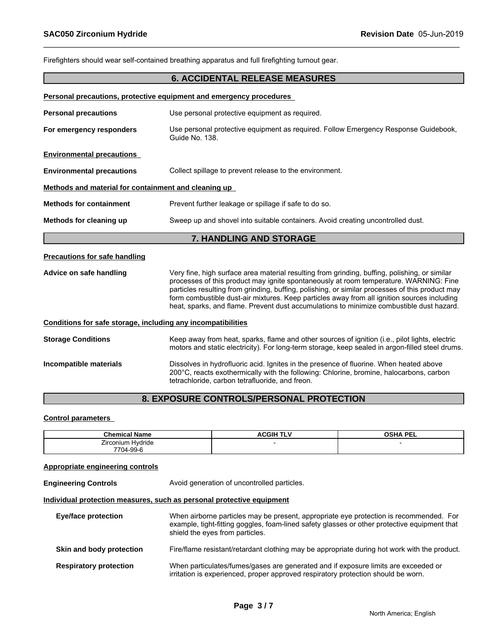Firefighters should wear self-contained breathing apparatus and full firefighting turnout gear. **6. ACCIDENTAL RELEASE MEASURES Personal precautions, protective equipment and emergency procedures Personal precautions** Use personal protective equipment as required. **For emergency responders** Use personal protective equipment as required. Follow Emergency Response Guidebook, Guide No. 138. **Environmental precautions Environmental precautions** Collect spillage to prevent release to the environment. **Methods and material for containment and cleaning up Methods for containment** Prevent further leakage or spillage if safe to do so. **Methods for cleaning up** Sweep up and shovel into suitable containers. Avoid creating uncontrolled dust. **7. HANDLING AND STORAGE Precautions for safe handling Advice on safe handling** Very fine, high surface area material resulting from grinding, buffing, polishing, or similar processes of this product may ignite spontaneously at room temperature. WARNING: Fine particles resulting from grinding, buffing, polishing, or similar processes of this product may form combustible dust-air mixtures. Keep particles away from all ignition sources including heat, sparks, and flame. Prevent dust accumulations to minimize combustible dust hazard. **Conditions for safe storage, including any incompatibilities Storage Conditions** Keep away from heat, sparks, flame and other sources of ignition (i.e., pilot lights, electric motors and static electricity). For long-term storage, keep sealed in argon-filled steel drums. **Incompatible materials Dissolves in hydrofluoric acid. Ignites in the presence of fluorine. When heated above** 200°C, reacts exothermically with the following: Chlorine, bromine, halocarbons, carbon tetrachloride, carbon tetrafluoride, and freon.

# **8. EXPOSURE CONTROLS/PERSONAL PROTECTION**

#### **Control parameters**

| - -<br>Chemical<br>Name     | . <i>.</i><br>ACGIH<br>. | <b>OCUA</b><br><b>DEL</b><br>--- |
|-----------------------------|--------------------------|----------------------------------|
| Hydride<br><b>Lirconium</b> |                          |                                  |
| 7704-99-6                   |                          |                                  |

#### **Appropriate engineering controls**

**Engineering Controls Avoid generation of uncontrolled particles.** 

#### **Individual protection measures, such as personal protective equipment**

| <b>Eye/face protection</b>    | When airborne particles may be present, appropriate eye protection is recommended. For<br>example, tight-fitting goggles, foam-lined safety glasses or other protective equipment that<br>shield the eyes from particles. |
|-------------------------------|---------------------------------------------------------------------------------------------------------------------------------------------------------------------------------------------------------------------------|
| Skin and body protection      | Fire/flame resistant/retardant clothing may be appropriate during hot work with the product.                                                                                                                              |
| <b>Respiratory protection</b> | When particulates/fumes/gases are generated and if exposure limits are exceeded or<br>irritation is experienced, proper approved respiratory protection should be worn.                                                   |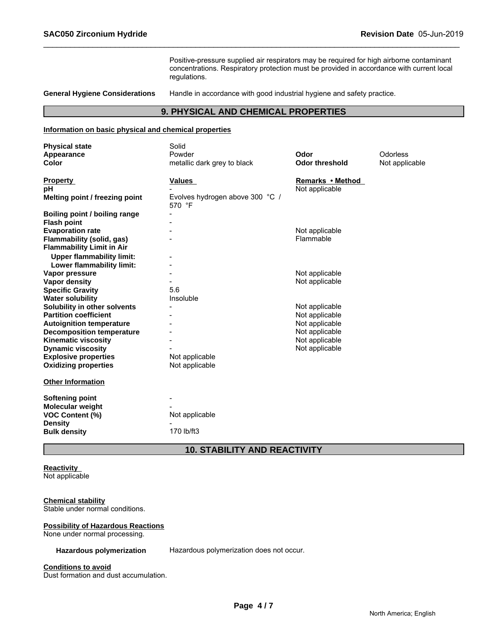Positive-pressure supplied air respirators may be required for high airborne contaminant concentrations. Respiratory protection must be provided in accordance with current local regulations.

**General Hygiene Considerations** Handle in accordance with good industrial hygiene and safety practice.

### **9. PHYSICAL AND CHEMICAL PROPERTIES**

#### **Information on basic physical and chemical properties**

| <b>Physical state</b>                | Solid                                     |                       |                |
|--------------------------------------|-------------------------------------------|-----------------------|----------------|
| Appearance                           | Powder                                    | Odor                  | Odorless       |
| <b>Color</b>                         | metallic dark grey to black               | <b>Odor threshold</b> | Not applicable |
|                                      |                                           |                       |                |
| <b>Property</b>                      | <b>Values</b>                             | Remarks • Method      |                |
| рH                                   |                                           | Not applicable        |                |
| Melting point / freezing point       | Evolves hydrogen above 300 °C /<br>570 °F |                       |                |
| <b>Boiling point / boiling range</b> |                                           |                       |                |
| <b>Flash point</b>                   |                                           |                       |                |
| <b>Evaporation rate</b>              |                                           | Not applicable        |                |
| Flammability (solid, gas)            |                                           | Flammable             |                |
| <b>Flammability Limit in Air</b>     |                                           |                       |                |
| <b>Upper flammability limit:</b>     |                                           |                       |                |
| Lower flammability limit:            |                                           |                       |                |
| Vapor pressure                       |                                           | Not applicable        |                |
| Vapor density                        |                                           | Not applicable        |                |
| <b>Specific Gravity</b>              | 5.6                                       |                       |                |
| <b>Water solubility</b>              | Insoluble                                 |                       |                |
| Solubility in other solvents         |                                           | Not applicable        |                |
| <b>Partition coefficient</b>         |                                           | Not applicable        |                |
| <b>Autoignition temperature</b>      |                                           | Not applicable        |                |
| <b>Decomposition temperature</b>     |                                           | Not applicable        |                |
| <b>Kinematic viscosity</b>           |                                           | Not applicable        |                |
| <b>Dynamic viscosity</b>             |                                           | Not applicable        |                |
| <b>Explosive properties</b>          | Not applicable                            |                       |                |
| <b>Oxidizing properties</b>          | Not applicable                            |                       |                |
| <b>Other Information</b>             |                                           |                       |                |
| <b>Softening point</b>               |                                           |                       |                |
| Molecular weight                     |                                           |                       |                |
| <b>VOC Content (%)</b>               | Not applicable                            |                       |                |
| <b>Density</b>                       |                                           |                       |                |
| <b>Bulk density</b>                  | 170 lb/ft3                                |                       |                |

# **10. STABILITY AND REACTIVITY**

# **Reactivity**

Not applicable

#### **Chemical stability**

Stable under normal conditions.

#### **Possibility of Hazardous Reactions**

None under normal processing.

**Hazardous polymerization** Hazardous polymerization does not occur.

#### **Conditions to avoid**

Dust formation and dust accumulation.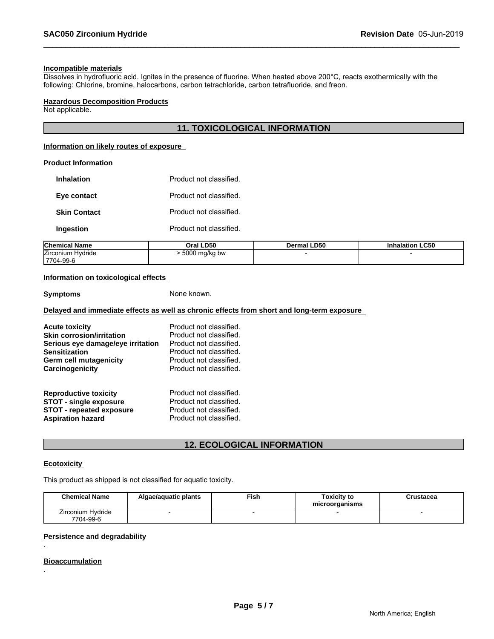#### **Incompatible materials**

Dissolves in hydrofluoric acid. Ignites in the presence of fluorine. When heated above 200°C, reacts exothermically with the following: Chlorine, bromine, halocarbons, carbon tetrachloride, carbon tetrafluoride, and freon.

#### **Hazardous Decomposition Products**

Not applicable.

# **11. TOXICOLOGICAL INFORMATION**

#### **Information on likely routes of exposure**

#### **Product Information**

| Product not classified. | <b>Inhalation</b>   |
|-------------------------|---------------------|
| Product not classified  | Eye contact         |
| Product not classified. | <b>Skin Contact</b> |
| Product not classified. | Ingestion           |
|                         |                     |

| <b>Chemical Name</b>            | LD50<br>Jral :                      | <b>Dermal LD50</b> | <b>Inhalation LC50</b> |
|---------------------------------|-------------------------------------|--------------------|------------------------|
| Zirconium Hydride<br>17704-99-6 | 500 <sup>c</sup><br>mq/kg bw<br>. . |                    |                        |

#### **Information on toxicological effects**

#### **Symptoms** None known.

# **Delayed and immediate effects as well as chronic effects from short and long-term exposure**

| <b>Acute toxicity</b>             | Product not classified. |
|-----------------------------------|-------------------------|
| <b>Skin corrosion/irritation</b>  | Product not classified. |
| Serious eye damage/eye irritation | Product not classified. |
| <b>Sensitization</b>              | Product not classified. |
| Germ cell mutagenicity            | Product not classified. |
| Carcinogenicity                   | Product not classified. |
| <b>Reproductive toxicity</b>      | Product not classified. |
| <b>STOT - single exposure</b>     | Product not classified. |
| <b>STOT - repeated exposure</b>   | Product not classified. |
| <b>Aspiration hazard</b>          | Product not classified. |

# **12. ECOLOGICAL INFORMATION**

#### **Ecotoxicity**

This product as shipped is not classified for aquatic toxicity.

| <b>Chemical Name</b>           | Algae/aguatic plants | Fish | <b>Toxicity to</b><br>microorganisms | Crustacea |
|--------------------------------|----------------------|------|--------------------------------------|-----------|
| Zirconium Hydride<br>7704-99-6 |                      |      |                                      |           |

#### **Persistence and degradability**

#### **Bioaccumulation**

.

.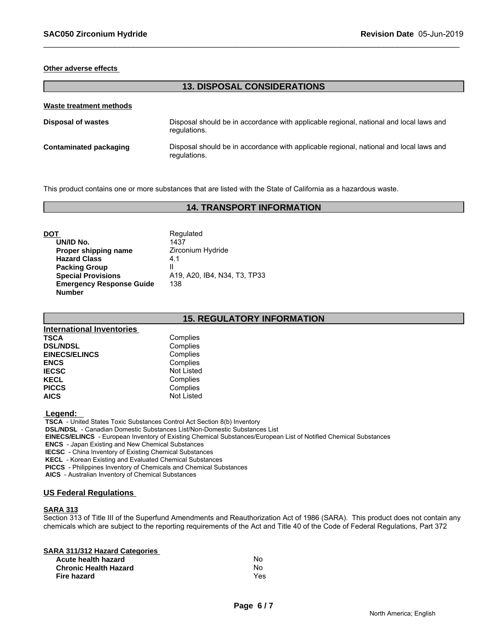#### **Other adverse effects**

# **13. DISPOSAL CONSIDERATIONS**

| Waste treatment methods |                                                                                                        |
|-------------------------|--------------------------------------------------------------------------------------------------------|
| Disposal of wastes      | Disposal should be in accordance with applicable regional, national and local laws and<br>regulations. |
| Contaminated packaging  | Disposal should be in accordance with applicable regional, national and local laws and<br>regulations. |

This product contains one or more substances that are listed with the State of California as a hazardous waste.

### **14. TRANSPORT INFORMATION**

| DOT                             | Regulated                    |
|---------------------------------|------------------------------|
| UN/ID No.                       | 1437                         |
| Proper shipping name            | Zirconium Hydride            |
| <b>Hazard Class</b>             | 4.1                          |
| <b>Packing Group</b>            | Ш                            |
| <b>Special Provisions</b>       | A19, A20, IB4, N34, T3, TP33 |
| <b>Emergency Response Guide</b> | 138                          |
| <b>Number</b>                   |                              |

#### **15. REGULATORY INFORMATION**

| <b>International Inventories</b> |                   |
|----------------------------------|-------------------|
| <b>TSCA</b>                      | Complies          |
| <b>DSL/NDSL</b>                  | Complies          |
| <b>EINECS/ELINCS</b>             | Complies          |
| <b>ENCS</b>                      | Complies          |
| <b>IECSC</b>                     | <b>Not Listed</b> |
| <b>KECL</b>                      | Complies          |
| <b>PICCS</b>                     | Complies          |
| <b>AICS</b>                      | <b>Not Listed</b> |

 **Legend:** 

 **TSCA** - United States Toxic Substances Control Act Section 8(b) Inventory

 **DSL/NDSL** - Canadian Domestic Substances List/Non-Domestic Substances List

 **EINECS/ELINCS** - European Inventory of Existing Chemical Substances/European List of Notified Chemical Substances

 **ENCS** - Japan Existing and New Chemical Substances

 **IECSC** - China Inventory of Existing Chemical Substances

 **KECL** - Korean Existing and Evaluated Chemical Substances

 **PICCS** - Philippines Inventory of Chemicals and Chemical Substances

 **AICS** - Australian Inventory of Chemical Substances

#### **US Federal Regulations**

#### **SARA 313**

Section 313 of Title III of the Superfund Amendments and Reauthorization Act of 1986 (SARA). This product does not contain any chemicals which are subject to the reporting requirements of the Act and Title 40 of the Code of Federal Regulations, Part 372

| <b>SARA 311/312 Hazard Categories</b> |     |  |
|---------------------------------------|-----|--|
| Acute health hazard                   | N٥  |  |
| <b>Chronic Health Hazard</b>          | N٥  |  |
| Fire hazard                           | Yes |  |